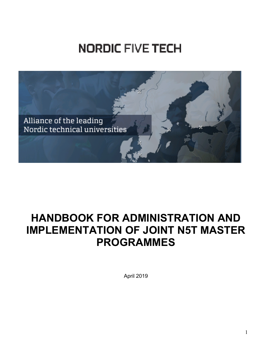# **NORDIC FIVE TECH**



# **HANDBOOK FOR ADMINISTRATION AND IMPLEMENTATION OF JOINT N5T MASTER PROGRAMMES**

April 2019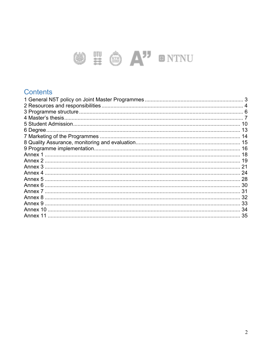# SE SA" ONTNU

### Contents

| 4 Master's thesis. |  |
|--------------------|--|
|                    |  |
| 6 Degree.          |  |
|                    |  |
|                    |  |
|                    |  |
|                    |  |
|                    |  |
|                    |  |
|                    |  |
|                    |  |
|                    |  |
|                    |  |
|                    |  |
|                    |  |
|                    |  |
| Annex 11           |  |
|                    |  |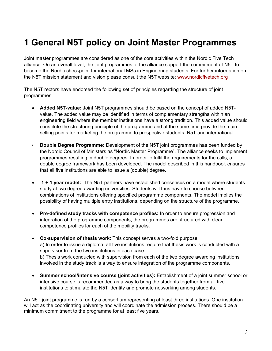# **1 General N5T policy on Joint Master Programmes**

Joint master programmes are considered as one of the core activities within the Nordic Five Tech alliance. On an overall level, the joint programmes of the alliance support the commitment of N5T to become the Nordic checkpoint for international MSc in Engineering students. For further information on the N5T mission statement and vision please consult the N5T website: www.nordicfivetech.org

The N5T rectors have endorsed the following set of principles regarding the structure of joint programmes:

- **Added N5T-value:** Joint N5T programmes should be based on the concept of added N5Tvalue. The added value may be identified in terms of complementary strengths within an engineering field where the member institutions have a strong tradition. This added value should constitute the structuring principle of the programme and at the same time provide the main selling points for marketing the programme to prospective students, N5T and international.
- **Double Degree Programme:** Development of the N5T joint programmes has been funded by the Nordic Council of Ministers as "Nordic Master Programme". The alliance seeks to implement programmes resulting in double degrees. In order to fulfil the requirements for the calls, a double degree framework has been developed. The model described in this handbook ensures that all five institutions are able to issue a (double) degree.
- **1 + 1 year model:** The N5T partners have established consensus on a model where students study at two degree awarding universities. Students will thus have to choose between combinations of institutions offering specified programme components. The model implies the possibility of having multiple entry institutions, depending on the structure of the programme.
- **Pre-defined study tracks with competence profiles:** In order to ensure progression and integration of the programme components, the programmes are structured with clear competence profiles for each of the mobility tracks.
- **Co-supervision of thesis work**: This concept serves a two-fold purpose: a) In order to issue a diploma, all five institutions require that thesis work is conducted with a supervisor from the two institutions in each case. b) Thesis work conducted with supervision from each of the two degree awarding institutions involved in the study track is a way to ensure integration of the programme components.
- **Summer school/intensive course (joint activities):** Establishment of a joint summer school or intensive course is recommended as a way to bring the students together from all five institutions to stimulate the N5T identity and promote networking among students.

An N5T joint programme is run by a consortium representing at least three institutions. One institution will act as the coordinating university and will coordinate the admission process. There should be a minimum commitment to the programme for at least five years.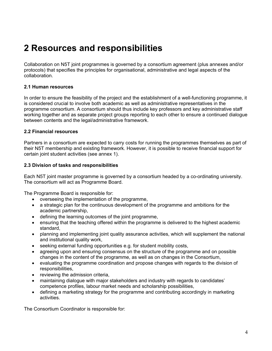# **2 Resources and responsibilities**

Collaboration on N5T joint programmes is governed by a consortium agreement (plus annexes and/or protocols) that specifies the principles for organisational, administrative and legal aspects of the collaboration.

#### **2.1 Human resources**

In order to ensure the feasibility of the project and the establishment of a well-functioning programme, it is considered crucial to involve both academic as well as administrative representatives in the programme consortium. A consortium should thus include key professors and key administrative staff working together and as separate project groups reporting to each other to ensure a continued dialogue between contents and the legal/administrative framework.

#### **2.2 Financial resources**

Partners in a consortium are expected to carry costs for running the programmes themselves as part of their N5T membership and existing framework. However, it is possible to receive financial support for certain joint student activities (see annex 1).

#### **2.3 Division of tasks and responsibilities**

Each N5T joint master programme is governed by a consortium headed by a co-ordinating university. The consortium will act as Programme Board.

The Programme Board is responsible for:

- overseeing the implementation of the programme,
- a strategic plan for the continuous development of the programme and ambitions for the academic partnership,
- defining the learning outcomes of the joint programme,
- ensuring that the teaching offered within the programme is delivered to the highest academic standard,
- planning and implementing joint quality assurance activities, which will supplement the national and institutional quality work,
- seeking external funding opportunities e.g. for student mobility costs,
- agreeing upon and ensuring consensus on the structure of the programme and on possible changes in the content of the programme, as well as on changes in the Consortium,
- evaluating the programme coordination and propose changes with regards to the division of responsibilities,
- reviewing the admission criteria,
- maintaining dialogue with major stakeholders and industry with regards to candidates' competence profiles, labour market needs and scholarship possibilities,
- defining a marketing strategy for the programme and contributing accordingly in marketing activities.

The Consortium Coordinator is responsible for: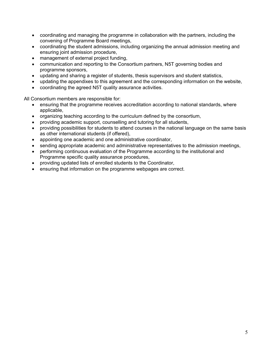- coordinating and managing the programme in collaboration with the partners, including the convening of Programme Board meetings,
- coordinating the student admissions, including organizing the annual admission meeting and ensuring joint admission procedure,
- management of external project funding,
- communication and reporting to the Consortium partners, N5T governing bodies and programme sponsors,
- updating and sharing a register of students, thesis supervisors and student statistics,
- updating the appendixes to this agreement and the corresponding information on the website,
- coordinating the agreed N5T quality assurance activities.

All Consortium members are responsible for:

- ensuring that the programme receives accreditation according to national standards, where applicable,
- organizing teaching according to the curriculum defined by the consortium,
- providing academic support, counselling and tutoring for all students,
- providing possibilities for students to attend courses in the national language on the same basis as other international students (if offered),
- appointing one academic and one administrative coordinator,
- sending appropriate academic and administrative representatives to the admission meetings,
- performing continuous evaluation of the Programme according to the institutional and Programme specific quality assurance procedures,
- providing updated lists of enrolled students to the Coordinator,
- ensuring that information on the programme webpages are correct.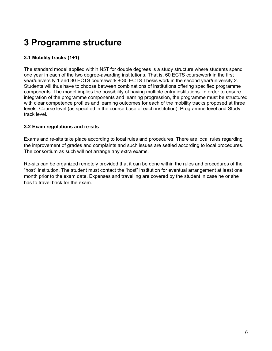# **3 Programme structure**

#### **3.1 Mobility tracks (1+1)**

The standard model applied within N5T for double degrees is a study structure where students spend one year in each of the two degree-awarding institutions. That is, 60 ECTS coursework in the first year/university 1 and 30 ECTS coursework + 30 ECTS Thesis work in the second year/university 2. Students will thus have to choose between combinations of institutions offering specified programme components. The model implies the possibility of having multiple entry institutions. In order to ensure integration of the programme components and learning progression, the programme must be structured with clear competence profiles and learning outcomes for each of the mobility tracks proposed at three levels: Course level (as specified in the course base of each institution), Programme level and Study track level.

#### **3.2 Exam regulations and re-sits**

Exams and re-sits take place according to local rules and procedures. There are local rules regarding the improvement of grades and complaints and such issues are settled according to local procedures. The consortium as such will not arrange any extra exams.

Re-sits can be organized remotely provided that it can be done within the rules and procedures of the "host" institution. The student must contact the "host" institution for eventual arrangement at least one month prior to the exam date. Expenses and travelling are covered by the student in case he or she has to travel back for the exam.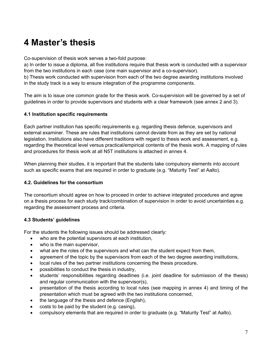# **4 Master's thesis**

Co-supervision of thesis work serves a two-fold purpose:

a) In order to issue a diploma, all five institutions require that thesis work is conducted with a supervisor from the two institutions in each case (one main supervisor and a co-supervisor).

b) Thesis work conducted with supervision from each of the two degree awarding institutions involved in the study track is a way to ensure integration of the programme components.

The aim is to issue one common grade for the thesis work. Co-supervision will be governed by a set of guidelines in order to provide supervisors and students with a clear framework (see annex 2 and 3).

#### **4.1 Institution specific requirements**

Each partner institution has specific requirements e.g. regarding thesis defence, supervisors and external examiner. These are rules that institutions cannot deviate from as they are set by national legislation. Institutions also have different traditions with regard to thesis work and assessment, e.g. regarding the theoretical level versus practical/empirical contents of the thesis work. A mapping of rules and procedures for thesis work at all N5T institutions is attached in annex 4.

When planning their studies, it is important that the students take compulsory elements into account such as specific exams that are required in order to graduate (e.g. "Maturity Test" at Aalto).

#### **4.2. Guidelines for the consortium**

The consortium should agree on how to proceed in order to achieve integrated procedures and agree on a thesis process for each study track/combination of supervision in order to avoid uncertainties e.g. regarding the assessment process and criteria.

#### **4.3 Students' guidelines**

For the students the following issues should be addressed clearly:

- who are the potential supervisors at each institution,
- who is the main supervisor.
- what are the roles of the supervisors and what can the student expect from them,
- agreement of the topic by the supervisors from each of the two degree awarding institutions,
- local rules of the two partner institutions concerning the thesis procedure,
- possibilities to conduct the thesis in industry,
- students' responsibilities regarding deadlines (i.e. joint deadline for submission of the thesis) and regular communication with the supervisor(s),
- presentation of the thesis according to local rules (see mapping in annex 4) and timing of the presentation which must be agreed with the two institutions concerned,
- the language of the thesis and defence (English),
- costs to be paid by the student (e.g. casing),
- compulsory elements that are required in order to graduate (e.g. "Maturity Test" at Aalto).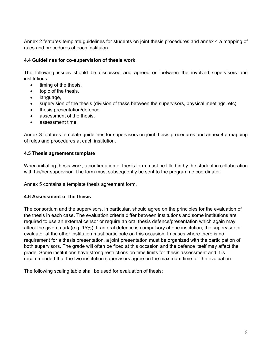Annex 2 features template guidelines for students on joint thesis procedures and annex 4 a mapping of rules and procedures at each instituion.

#### **4.4 Guidelines for co-supervision of thesis work**

The following issues should be discussed and agreed on between the involved supervisors and institutions:

- $\bullet$  timing of the thesis,
- topic of the thesis,
- language,
- supervision of the thesis (division of tasks between the supervisors, physical meetings, etc),
- thesis presentation/defence,
- assessment of the thesis,
- assessment time.

Annex 3 features template guidelines for supervisors on joint thesis procedures and annex 4 a mapping of rules and procedures at each institution.

#### **4.5 Thesis agreement template**

When initiating thesis work, a confirmation of thesis form must be filled in by the student in collaboration with his/her supervisor. The form must subsequently be sent to the programme coordinator.

Annex 5 contains a template thesis agreement form.

#### **4.6 Assessment of the thesis**

The consortium and the supervisors, in particular, should agree on the principles for the evaluation of the thesis in each case. The evaluation criteria differ between institutions and some institutions are required to use an external censor or require an oral thesis defence/presentation which again may affect the given mark (e.g. 15%). If an oral defence is compulsory at one institution, the supervisor or evaluator at the other institution must participate on this occasion. In cases where there is no requirement for a thesis presentation, a joint presentation must be organized with the participation of both supervisors. The grade will often be fixed at this occasion and the defence itself may affect the grade. Some institutions have strong restrictions on time limits for thesis assessment and it is recommended that the two institution supervisors agree on the maximum time for the evaluation.

The following scaling table shall be used for evaluation of thesis: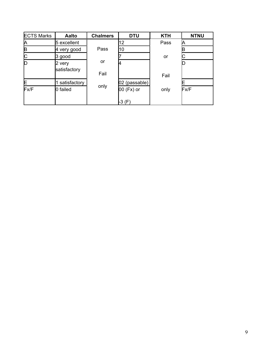| <b>ECTS Marks</b> | Aalto                  | <b>Chalmers</b> | <b>DTU</b>    | <b>KTH</b> | <b>NTNU</b> |
|-------------------|------------------------|-----------------|---------------|------------|-------------|
| А                 | 5 excellent            |                 | 12            | Pass       |             |
| B                 | 4 very good            | Pass            | 10            |            |             |
| C                 | 3 good                 |                 |               | or         |             |
| D                 | 2 very<br>satisfactory | or<br>Fail      |               | Fail       |             |
| E                 | satisfactory           |                 | 02 (passable) |            |             |
| Fx/F              | 0 failed               | only            | 00 (Fx) or    | only       | Fx/F        |
|                   |                        |                 | -3 (F)        |            |             |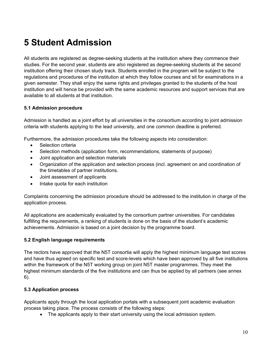# **5 Student Admission**

All students are registered as degree-seeking students at the institution where they commence their studies. For the second year, students are *also* registered as degree-seeking students at the second institution offering their chosen study track. Students enrolled in the program will be subject to the regulations and procedures of the institution at which they follow courses and sit for examinations in a given semester. They shall enjoy the same rights and privileges granted to the students of the host institution and will hence be provided with the same academic resources and support services that are available to all students at that institution.

#### **5.1 Admission procedure**

Admission is handled as a joint effort by all universities in the consortium according to joint admission criteria with students applying to the lead university, and one common deadline is preferred.

Furthermore, the admission procedures take the following aspects into consideration:

- Selection criteria
- Selection methods (application form, recommendations, statements of purpose)
- Joint application and selection materials
- Organization of the application and selection process (incl. agreement on and coordination of the timetables of partner institutions.
- Joint assessment of applicants
- Intake quota for each institution

Complaints concerning the admission procedure should be addressed to the institution in charge of the application process.

All applications are academically evaluated by the consortium partner universities. For candidates fulfilling the requirements, a ranking of students is done on the basis of the student's academic achievements. Admission is based on a joint decision by the programme board.

#### **5.2 English language requirements**

The rectors have approved that the N5T consortia will apply the highest minimum language test scores and have thus agreed on specific test and score-levels which have been approved by all five institutions within the framework of the N5T working group on joint N5T master programmes. They meet the highest minimum standards of the five institutions and can thus be applied by all partners (see annex 6).

#### **5.3 Application process**

Applicants apply through the local application portals with a subsequent joint academic evaluation process taking place. The process consists of the following steps:

The applicants apply to their start university using the local admission system.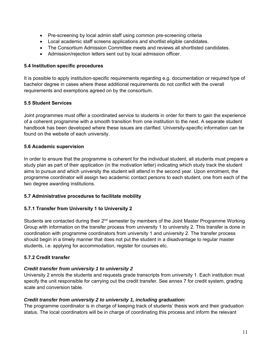- Pre-screening by local admin staff using common pre-screening criteria
- Local academic staff screens applications and shortlist eligible candidates.
- The Consortium Admission Committee meets and reviews all shortlisted candidates.
- Admission/rejection letters sent out by local admission officer.

#### **5.4 Institution specific procedures**

It is possible to apply institution-specific requirements regarding e.g. documentation or required type of bachelor degree in cases where these additional requirements do not conflict with the overall requirements and exemptions agreed on by the consortium.

#### **5.5 Student Services**

Joint programmes must offer a coordinated service to students in order for them to gain the experience of a coherent programme with a smooth transition from one institution to the next. A separate student handbook has been developed where these issues are clarified. University-specific information can be found on the website of each university.

#### **5.6 Academic supervision**

In order to ensure that the programme is coherent for the individual student, all students must prepare a study plan as part of their application (in the motivation letter) indicating which study track the student aims to pursue and which university the student will attend in the second year. Upon enrolment, the programme coordinator will assign two academic contact persons to each student, one from each of the two degree awarding institutions.

#### **5.7 Administrative procedures to facilitate mobility**

#### **5.7.1 Transfer from University 1 to University 2**

Students are contacted during their 2<sup>nd</sup> semester by members of the Joint Master Programme Working Group with information on the transfer process from university 1 to university 2. This transfer is done in coordination with programme coordinators from university 1 and university 2. The transfer process should begin in a timely manner that does not put the student in a disadvantage to regular master students, i.e. applying for accommodation, register for courses etc.

#### **5.7.2 Credit transfer**

#### *Credit transfer from university 1 to university 2*

University 2 enrols the students and requests grade transcripts from university 1. Each institution must specify the unit responsible for carrying out the credit transfer. See annex 7 for credit system, grading scale and conversion table.

#### *Credit transfer from university 2 to university 1, including graduation:*

The programme coordinator is in charge of keeping track of students' thesis work and their graduation status. The local coordinators will be in charge of coordinating this process and inform the relevant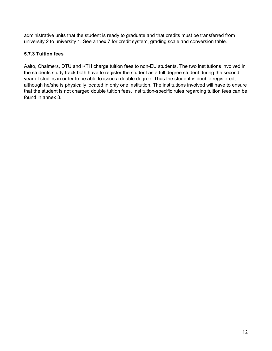administrative units that the student is ready to graduate and that credits must be transferred from university 2 to university 1. See annex 7 for credit system, grading scale and conversion table.

#### **5.7.3 Tuition fees**

Aalto, Chalmers, DTU and KTH charge tuition fees to non-EU students. The two institutions involved in the students study track both have to register the student as a full degree student during the second year of studies in order to be able to issue a double degree. Thus the student is double registered, although he/she is physically located in only one institution. The institutions involved will have to ensure that the student is not charged double tuition fees. Institution-specific rules regarding tuition fees can be found in annex 8.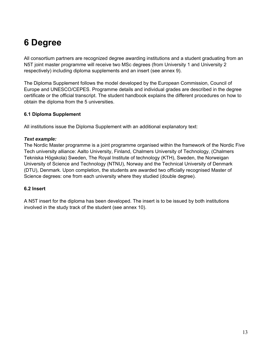# **6 Degree**

All consortium partners are recognized degree awarding institutions and a student graduating from an N5T joint master programme will receive two MSc degrees (from University 1 and University 2 respectively) including diploma supplements and an insert (see annex 9).

The Diploma Supplement follows the model developed by the European Commission, Council of Europe and UNESCO/CEPES. Programme details and individual grades are described in the degree certificate or the official transcript. The student handbook explains the different procedures on how to obtain the diploma from the 5 universities.

#### **6.1 Diploma Supplement**

All institutions issue the Diploma Supplement with an additional explanatory text:

#### *Text example:*

The Nordic Master programme is a joint programme organised within the framework of the Nordic Five Tech university alliance: Aalto University, Finland, Chalmers University of Technology, (Chalmers Tekniska Högskola) Sweden, The Royal Institute of technology (KTH), Sweden, the Norweigan University of Science and Technology (NTNU), Norway and the Technical University of Denmark (DTU), Denmark. Upon completion, the students are awarded two officially recognised Master of Science degrees: one from each university where they studied (double degree).

#### **6.2 Insert**

A N5T insert for the diploma has been developed. The insert is to be issued by both institutions involved in the study track of the student (see annex 10).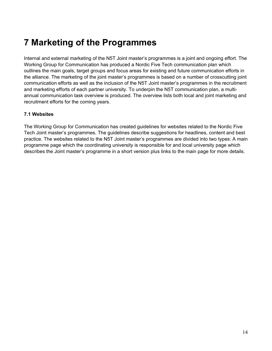# **7 Marketing of the Programmes**

Internal and external marketing of the N5T Joint master's programmes is a joint and ongoing effort. The Working Group for Communication has produced a Nordic Five Tech communication plan which outlines the main goals, target groups and focus areas for existing and future communication efforts in the alliance. The marketing of the joint master's programmes is based on a number of crosscutting joint communication efforts as well as the inclusion of the N5T Joint master's programmes in the recruitment and marketing efforts of each partner university. To underpin the N5T communication plan, a multiannual communication task overview is produced. The overview lists both local and joint marketing and recruitment efforts for the coming years.

#### **7.1 Websites**

The Working Group for Communication has created guidelines for websites related to the Nordic Five Tech Joint master's programmes. The guidelines describe suggestions for headlines, content and best practice. The websites related to the N5T Joint master's programmes are divided into two types: A main programme page which the coordinating university is responsible for and local university page which describes the Joint master's programme in a short version plus links to the main page for more details.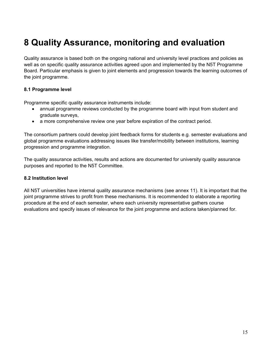# **8 Quality Assurance, monitoring and evaluation**

Quality assurance is based both on the ongoing national and university level practices and policies as well as on specific quality assurance activities agreed upon and implemented by the N5T Programme Board. Particular emphasis is given to joint elements and progression towards the learning outcomes of the joint programme.

#### **8.1 Programme level**

Programme specific quality assurance instruments include:

- annual programme reviews conducted by the programme board with input from student and graduate surveys,
- a more comprehensive review one year before expiration of the contract period.

The consortium partners could develop joint feedback forms for students e.g. semester evaluations and global programme evaluations addressing issues like transfer/mobility between institutions, learning progression and programme integration.

The quality assurance activities, results and actions are documented for university quality assurance purposes and reported to the N5T Committee.

#### **8.2 Institution level**

All N5T universities have internal quality assurance mechanisms (see annex 11). It is important that the joint programme strives to profit from these mechanisms. It is recommended to elaborate a reporting procedure at the end of each semester, where each university representative gathers course evaluations and specify issues of relevance for the joint programme and actions taken/planned for.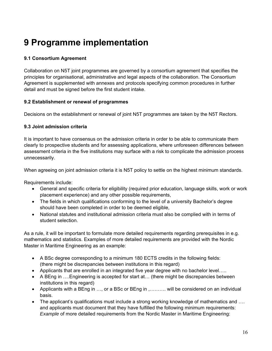# **9 Programme implementation**

#### **9.1 Consortium Agreement**

Collaboration on N5T joint programmes are governed by a consortium agreement that specifies the principles for organisational, administrative and legal aspects of the collaboration. The Consortium Agreement is supplemented with annexes and protocols specifying common procedures in further detail and must be signed before the first student intake.

#### **9.2 Establishment or renewal of programmes**

Decisions on the establishment or renewal of joint N5T programmes are taken by the N5T Rectors.

#### **9.3 Joint admission criteria**

It is important to have consensus on the admission criteria in order to be able to communicate them clearly to prospective students and for assessing applications, where unforeseen differences between assessment criteria in the five institutions may surface with a risk to complicate the admission process unnecessarily.

When agreeing on joint admission criteria it is N5T policy to settle on the highest minimum standards.

Requirements include:

- General and specific criteria for eligibility (required prior education, language skills, work or work placement experience) and any other possible requirements,
- The fields in which qualifications conforming to the level of a university Bachelor's degree should have been completed in order to be deemed eligible,
- National statutes and institutional admission criteria must also be complied with in terms of student selection.

As a rule, it will be important to formulate more detailed requirements regarding prerequisites in e.g. mathematics and statistics. Examples of more detailed requirements are provided with the Nordic Master in Maritime Engineering as an example:

- A BSc degree corresponding to a minimum 180 ECTS credits in the following fields: (there might be discrepancies between institutions in this regard)
- Applicants that are enrolled in an integrated five year degree with no bachelor level…..
- A BEng in ….Engineering is accepted for start at… (there might be discrepancies between institutions in this regard)
- Applicants with a BEng in …, or a BSc or BEng in ,………. will be considered on an individual basis.
- The applicant's qualifications must include a strong working knowledge of mathematics and …. and applicants must document that they have fulfilled the following minimum requirements: *Example* of more detailed requirements from the Nordic Master in Maritime Engineering: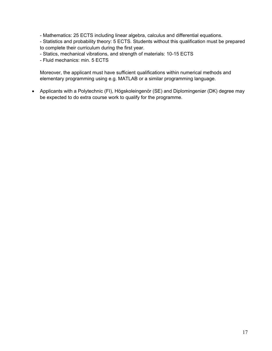- Mathematics: 25 ECTS including linear algebra, calculus and differential equations.

- Statistics and probability theory: 5 ECTS. Students without this qualification must be prepared to complete their curriculum during the first year.

- Statics, mechanical vibrations, and strength of materials: 10-15 ECTS
- Fluid mechanics: min. 5 ECTS

Moreover, the applicant must have sufficient qualifications within numerical methods and elementary programming using e.g. MATLAB or a similar programming language.

 Applicants with a Polytechnic (FI), Högskoleingenör (SE) and Diplomingeniør (DK) degree may be expected to do extra course work to qualify for the programme.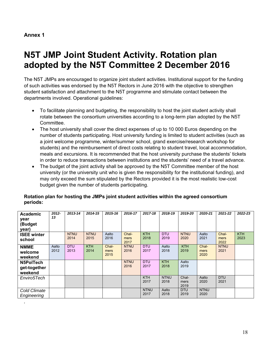*.* 

# **N5T JMP Joint Student Activity. Rotation plan adopted by the N5T Committee 2 December 2016**

The N5T JMPs are encouraged to organize joint student activities. Institutional support for the funding of such activities was endorsed by the N5T Rectors in June 2016 with the objective to strengthen student satisfaction and attachment to the N5T programme and stimulate contact between the departments involved. Operational guidelines:

- To facilitate planning and budgeting, the responsibility to host the joint student activity shall rotate between the consortium universities according to a long-term plan adopted by the N5T Committee.
- The host university shall cover the direct expenses of up to 10 000 Euros depending on the number of students participating. Host university funding is limited to student activities (such as a joint welcome programme, winter/summer school, grand exercise/research workshop for students) and the reimbursement of direct costs relating to student travel, local accommodation, meals and excursions. It is recommended that the host university purchase the students' tickets in order to reduce transactions between institutions and the students' need of a travel advance.
- The budget of the joint activity shall be approved by the N5T Committee member of the host university (or the university unit who is given the responsibility for the institutional funding), and may only exceed the sum stipulated by the Rectors provided it is the most realistic low-cost budget given the number of students participating.

| Academic<br>year<br>(Budget<br>year) | 2012-<br>13   | 2013-14             | 2014-15             | 2015-16               | 2016-17               | 2017-18             | 2018-19             | 2019-20               | 2020-21               | 2021-22               | 2022-23            |
|--------------------------------------|---------------|---------------------|---------------------|-----------------------|-----------------------|---------------------|---------------------|-----------------------|-----------------------|-----------------------|--------------------|
| <b>ISEE winter</b><br>school         |               | <b>NTNU</b><br>2014 | <b>NTNU</b><br>2015 | Aalto<br>2016         | Chal-<br>mers<br>2017 | <b>KTH</b><br>2018  | <b>DTU</b><br>2019  | <b>NTNU</b><br>2020   | Aalto<br>2021         | Chal-<br>mers<br>2022 | <b>KTH</b><br>2023 |
| <b>NMME</b><br>welcome<br>weekend    | Aalto<br>2012 | <b>DTU</b><br>2013  | <b>KTH</b><br>2014  | Chal-<br>mers<br>2015 | <b>NTNU</b><br>2016   | <b>DTU</b><br>2017  | Aalto<br>2018       | <b>KTH</b><br>2019    | Chal-<br>mers<br>2020 | <b>NTNU</b><br>2021   |                    |
| N5PolTech<br>get-together<br>weekend |               |                     |                     |                       | <b>NTNU</b><br>2016   | <b>DTU</b><br>2017  | <b>KTH</b><br>2018  | Aalto<br>2019         |                       |                       |                    |
| Enviro5Tech                          |               |                     |                     |                       |                       | <b>KTH</b><br>2017  | <b>NTNU</b><br>2018 | Chal-<br>mers<br>2019 | Aalto<br>2020         | <b>DTU</b><br>2021    |                    |
| Cold Climate<br>Engineering          |               |                     |                     |                       |                       | <b>NTNU</b><br>2017 | Aalto<br>2018       | <b>DTU</b><br>2019    | <b>NTNU</b><br>2020   |                       |                    |

#### **Rotation plan for hosting the JMPs joint student activities within the agreed consortium periods:**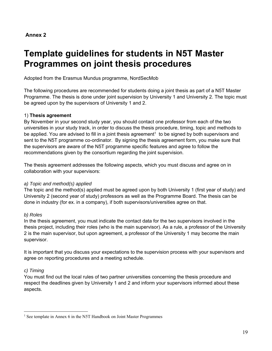# **Template guidelines for students in N5T Master Programmes on joint thesis procedures**

Adopted from the Erasmus Mundus programme, NordSecMob

The following procedures are recommended for students doing a joint thesis as part of a N5T Master Programme. The thesis is done under joint supervision by University 1 and University 2. The topic must be agreed upon by the supervisors of University 1 and 2.

#### 1) **Thesis agreement**

By November in your second study year, you should contact one professor from each of the two universities in your study track, in order to discuss the thesis procedure, timing, topic and methods to be applied. You are advised to fill in a joint thesis agreement<sup>1</sup> to be signed by both supervisors and sent to the N5T programme co-ordinator. By signing the thesis agreement form, you make sure that the supervisors are aware of the N5T programme specific features and agree to follow the recommendations given by the consortium regarding the joint supervision.

The thesis agreement addresses the following aspects, which you must discuss and agree on in collaboration with your supervisors:

#### *a) Topic and method(s) applied*

The topic and the method(s) applied must be agreed upon by both University 1 (first year of study) and University 2 (second year of study) professors as well as the Programme Board. The thesis can be done in industry (for ex. in a company), if both supervisors/universities agree on that.

#### *b) Roles*

In the thesis agreement, you must indicate the contact data for the two supervisors involved in the thesis project, including their roles (who is the main supervisor). As a rule, a professor of the University 2 is the main supervisor, but upon agreement, a professor of the University 1 may become the main supervisor.

It is important that you discuss your expectations to the supervision process with your supervisors and agree on reporting procedures and a meeting schedule.

#### *c) Timing*

 $\overline{a}$ 

You must find out the local rules of two partner universities concerning the thesis procedure and respect the deadlines given by University 1 and 2 and inform your supervisors informed about these aspects.

<sup>&</sup>lt;sup>1</sup> See template in Annex 6 in the N5T Handbook on Joint Master Programmes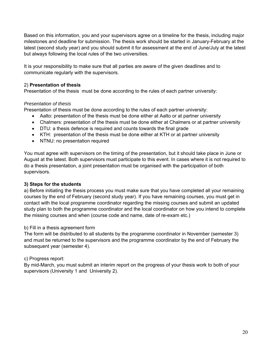Based on this information, you and your supervisors agree on a timeline for the thesis, including major milestones and deadline for submission. The thesis work should be started in January-February at the latest (second study year) and you should submit it for assessment at the end of June/July at the latest but always following the local rules of the two universities.

It is your responsibility to make sure that all parties are aware of the given deadlines and to communicate regularly with the supervisors.

#### 2) **Presentation of thesis**

Presentation of the thesis must be done according to the rules of each partner university:

#### *Presentation of thesis*

Presentation of thesis must be done according to the rules of each partner university:

- Aalto: presentation of the thesis must be done either at Aalto or at partner university
- Chalmers: presentation of the thesis must be done either at Chalmers or at partner university
- DTU: a thesis defence is required and counts towards the final grade
- KTH: presentation of the thesis must be done either at KTH or at partner university
- NTNU: no presentation required

You must agree with supervisors on the timing of the presentation, but it should take place in June or August at the latest. Both supervisors must participate to this event. In cases where it is not required to do a thesis presentation, a joint presentation must be organised with the participation of both supervisors.

#### **3) Steps for the students**

a) Before initiating the thesis process you must make sure that you have completed all your remaining courses by the end of February (second study year). If you have remaining courses, you must get in contact with the local programme coordinator regarding the missing courses and submit an updated study plan to both the programme coordinator and the local coordinator on how you intend to complete the missing courses and when (course code and name, date of re-exam etc.)

#### b) Fill in a thesis agreement form

The form will be distributed to all students by the programme coordinator in November (semester 3) and must be returned to the supervisors and the programme coordinator by the end of February the subsequent year (semester 4).

#### c) Progress report:

By mid-March, you must submit an interim report on the progress of your thesis work to both of your supervisors (University 1 and University 2).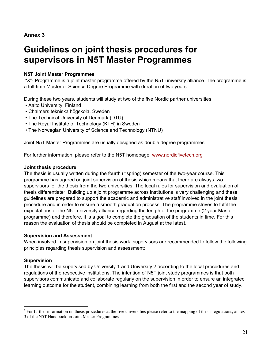## **Guidelines on joint thesis procedures for supervisors in N5T Master Programmes**

#### **N5T Joint Master Programmes**

 "X"- Programme is a joint master programme offered by the N5T university alliance. The programme is a full-time Master of Science Degree Programme with duration of two years.

During these two years, students will study at two of the five Nordic partner universities:

- Aalto University, Finland
- Chalmers tekniska högskola, Sweden
- The Technical University of Denmark (DTU)
- The Royal Institute of Technology (KTH) in Sweden
- The Norwegian University of Science and Technology (NTNU)

Joint N5T Master Programmes are usually designed as double degree programmes.

For further information, please refer to the N5T homepage: www.nordicfivetech.org

#### **Joint thesis procedure**

The thesis is usually written during the fourth (=spring) semester of the two-year course. This programme has agreed on joint supervision of thesis which means that there are always two supervisors for the thesis from the two universities. The local rules for supervision and evaluation of thesis differentiate2. Building up a joint programme across institutions is very challenging and these guidelines are prepared to support the academic and administrative staff involved in the joint thesis procedure and in order to ensure a smooth graduation process. The programme strives to fulfil the expectations of the N5T university alliance regarding the length of the programme (2 year Masterprogramme) and therefore, it is a goal to complete the graduation of the students in time. For this reason the evaluation of thesis should be completed in August at the latest.

#### **Supervision and Assessment**

When involved in supervision on joint thesis work, supervisors are recommended to follow the following principles regarding thesis supervision and assessment:

#### **Supervision**

 $\overline{a}$ 

The thesis will be supervised by University 1 and University 2 according to the local procedures and regulations of the respective institutions. The intention of N5T joint study programmes is that both supervisors communicate and collaborate regularly on the supervision in order to ensure an integrated learning outcome for the student, combining learning from both the first and the second year of study.

<sup>&</sup>lt;sup>2</sup> For further information on thesis procedures at the five universities please refer to the mapping of thesis regulations, annex 3 of the N5T Handbook on Joint Master Programmes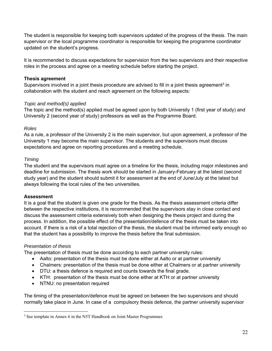The student is responsible for keeping both supervisors updated of the progress of the thesis. The main supervisor or the local programme coordinator is responsible for keeping the programme coordinator updated on the student's progress.

It is recommended to discuss expectations for supervision from the two supervisors and their respective roles in the process and agree on a meeting schedule before starting the project.

#### **Thesis agreement**

Supervisors involved in a joint thesis procedure are advised to fill in a joint thesis agreement<sup>3</sup> in collaboration with the student and reach agreement on the following aspects:

#### *Topic and method(s) applied*

The topic and the method(s) applied must be agreed upon by both University 1 (first year of study) and University 2 (second year of study) professors as well as the Programme Board.

#### *Roles*

As a rule, a professor of the University 2 is the main supervisor, but upon agreement, a professor of the University 1 may become the main supervisor. The students and the supervisors must discuss expectations and agree on reporting procedures and a meeting schedule.

#### *Timing*

The student and the supervisors must agree on a timeline for the thesis, including major milestones and deadline for submission. The thesis work should be started in January-February at the latest (second study year) and the student should submit it for assessment at the end of June/July at the latest but always following the local rules of the two universities.

#### **Assessment**

It is a goal that the student is given one grade for the thesis. As the thesis assessment criteria differ between the respective institutions, it is recommended that the supervisors stay in close contact and discuss the assessment criteria extensively both when designing the thesis project and during the process. In addition, the possible effect of the presentation/defence of the thesis must be taken into account. If there is a risk of a total rejection of the thesis, the student must be informed early enough so that the student has a possibility to improve the thesis before the final submission.

#### *Presentation of thesis*

 $\overline{a}$ 

The presentation of thesis must be done according to each partner university rules:

- Aalto: presentation of the thesis must be done either at Aalto or at partner university
- Chalmers: presentation of the thesis must be done either at Chalmers or at partner university
- DTU: a thesis defence is required and counts towards the final grade.
- KTH: presentation of the thesis must be done either at KTH or at partner university
- NTNU: no presentation required

The timing of the presentation/defence must be agreed on between the two supervisors and should normally take place in June. In case of a compulsory thesis defence, the partner university supervisor

<sup>&</sup>lt;sup>3</sup> See template in Annex 6 in the N5T Handbook on Joint Master Programmes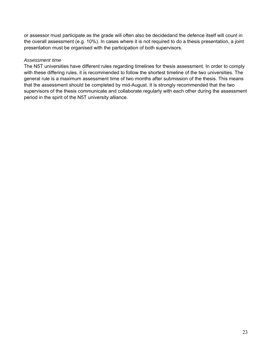or assessor must participate as the grade will often also be decidedand the defence itself will count in the overall assessment (e.g. 10%). In cases where it is not required to do a thesis presentation, a joint presentation must be organised with the participation of both supervisors.

#### *Assessment time*

The N5T universities have different rules regarding timelines for thesis assessment. In order to comply with these differing rules, it is recommended to follow the shortest timeline of the two universities. The general rule is a maximum assessment time of two months after submission of the thesis. This means that the assessment should be completed by mid-August. It is strongly recommended that the two supervisors of the thesis communicate and collaborate regularly with each other during the assessment period in the spirit of the N5T university alliance.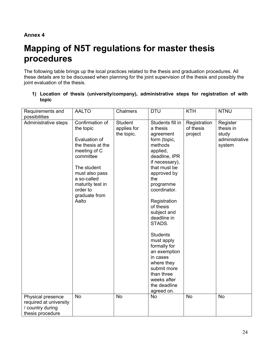# **Mapping of N5T regulations for master thesis procedures**

The following table brings up the local practices related to the thesis and graduation procedures. All these details are to be discussed when planning for the joint supervision of the thesis and possibly the joint evaluation of the thesis.

|       |  | 1) Location of thesis (university/company), administrative steps for registration of with |  |  |  |
|-------|--|-------------------------------------------------------------------------------------------|--|--|--|
| topic |  |                                                                                           |  |  |  |

| Requirements and                                                                    | <b>AALTO</b>                                                                                                                                                                                              | <b>Chalmers</b>                             | <b>DTU</b>                                                                                                                                                                                                                                                                                                                                                                                                                       | <b>KTH</b>                           | <b>NTNU</b>                                                |
|-------------------------------------------------------------------------------------|-----------------------------------------------------------------------------------------------------------------------------------------------------------------------------------------------------------|---------------------------------------------|----------------------------------------------------------------------------------------------------------------------------------------------------------------------------------------------------------------------------------------------------------------------------------------------------------------------------------------------------------------------------------------------------------------------------------|--------------------------------------|------------------------------------------------------------|
| possibilities                                                                       |                                                                                                                                                                                                           |                                             |                                                                                                                                                                                                                                                                                                                                                                                                                                  |                                      |                                                            |
| Administrative steps                                                                | Confirmation of<br>the topic<br>Evaluation of<br>the thesis at the<br>meeting of C<br>committee<br>The student<br>must also pass<br>a so-called<br>maturity test in<br>order to<br>graduate from<br>Aalto | <b>Student</b><br>applies for<br>the topic. | Students fill in<br>a thesis<br>agreement<br>form (topic,<br>methods<br>applied,<br>deadline, IPR<br>if necessary),<br>that must be<br>approved by<br>the<br>programme<br>coordinator.<br>Registration<br>of thesis<br>subject and<br>deadline in<br>STADS.<br><b>Students</b><br>must apply<br>formally for<br>an exemption<br>in cases<br>where they<br>submit more<br>than three<br>weeks after<br>the deadline<br>agreed on. | Registration<br>of thesis<br>project | Register<br>thesis in<br>study<br>administrative<br>system |
| Physical presence<br>required at university<br>/ country during<br>thesis procedure | <b>No</b>                                                                                                                                                                                                 | <b>No</b>                                   | No                                                                                                                                                                                                                                                                                                                                                                                                                               | <b>No</b>                            | <b>No</b>                                                  |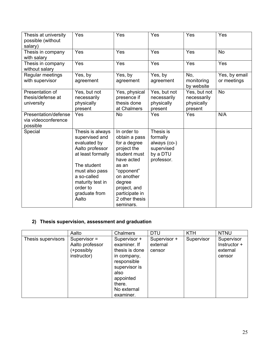| Thesis at university<br>possible (without<br>salary)    | Yes                                                                                                                                                                                                  | Yes                                                                                                                                                                                                       | Yes                                                                           | <b>Yes</b>                                           | Yes                          |
|---------------------------------------------------------|------------------------------------------------------------------------------------------------------------------------------------------------------------------------------------------------------|-----------------------------------------------------------------------------------------------------------------------------------------------------------------------------------------------------------|-------------------------------------------------------------------------------|------------------------------------------------------|------------------------------|
| Thesis in company<br>with salary                        | Yes                                                                                                                                                                                                  | Yes                                                                                                                                                                                                       | Yes                                                                           | Yes                                                  | <b>No</b>                    |
| Thesis in company<br>without salary                     | Yes                                                                                                                                                                                                  | Yes                                                                                                                                                                                                       | Yes                                                                           | Yes                                                  | Yes                          |
| Regular meetings<br>with supervisor                     | Yes, by<br>agreement                                                                                                                                                                                 | Yes, by<br>agreement                                                                                                                                                                                      | Yes, by<br>agreement                                                          | No,<br>monitoring<br>by website                      | Yes, by email<br>or meetings |
| Presentation of<br>thesis/defense at<br>university      | Yes, but not<br>necessarily<br>physically<br>present                                                                                                                                                 | Yes, physical<br>presence if<br>thesis done<br>at Chalmers                                                                                                                                                | Yes, but not<br>necessarily<br>physically<br>present                          | Yes, but not<br>necessarily<br>physically<br>present | <b>No</b>                    |
| Presentation/defense<br>via videoconference<br>possible | Yes                                                                                                                                                                                                  | <b>No</b>                                                                                                                                                                                                 | Yes                                                                           | Yes                                                  | N/A                          |
| Special                                                 | Thesis is always<br>supervised and<br>evaluated by<br>Aalto professor<br>at least formally<br>The student<br>must also pass<br>a so-called<br>maturity test in<br>order to<br>graduate from<br>Aalto | In order to<br>obtain a pass<br>for a degree<br>project the<br>student must<br>have acted<br>as an<br>"opponent"<br>on another<br>degree<br>project, and<br>participate in<br>2 other thesis<br>seminars. | Thesis is<br>formally<br>always (co-)<br>supervised<br>by a DTU<br>professor. |                                                      |                              |

#### **2) Thesis supervision, assessment and graduation**

|                    | Aalto                                                          | Chalmers                                                                                                                                                 | <b>DTU</b>                         | <b>KTH</b> | <b>NTNU</b>                                      |
|--------------------|----------------------------------------------------------------|----------------------------------------------------------------------------------------------------------------------------------------------------------|------------------------------------|------------|--------------------------------------------------|
| Thesis supervisors | Supervisor $=$<br>Aalto professor<br>(+possibly<br>instructor) | Supervisor +<br>examiner. If<br>thesis is done<br>in company,<br>responsible<br>supervisor is<br>also<br>appointed<br>there.<br>No external<br>examiner. | Supervisor +<br>external<br>censor | Supervisor | Supervisor<br>Instructor +<br>external<br>censor |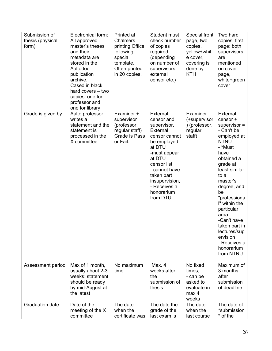| Submission of<br>thesis (physical<br>form) | Electronical form:<br>All approved<br>master's theses<br>and their<br>metadata are<br>stored in the<br>Aaltodoc<br>publication<br>archive.<br>Cased in black<br>hard covers - two<br>copies: one for<br>professor and<br>one for library | Printed at<br><b>Chalmers</b><br>printing Office<br>following<br>special<br>template.<br>Often printed<br>in 20 copies. | Student must<br>check number<br>of copies<br>required<br>(depending<br>on number of<br>supervisors,<br>external<br>censor etc.)                                                                                                 | Special front<br>page, two<br>copies,<br>yellow+whit<br>e cover,<br>covering is<br>done by<br><b>KTH</b> | Two hard<br>copies, first<br>page: both<br>supervisors<br>are<br>mentioned<br>on cover<br>page,<br>white+green<br>cover                                                                                                                                                                                                                                 |
|--------------------------------------------|------------------------------------------------------------------------------------------------------------------------------------------------------------------------------------------------------------------------------------------|-------------------------------------------------------------------------------------------------------------------------|---------------------------------------------------------------------------------------------------------------------------------------------------------------------------------------------------------------------------------|----------------------------------------------------------------------------------------------------------|---------------------------------------------------------------------------------------------------------------------------------------------------------------------------------------------------------------------------------------------------------------------------------------------------------------------------------------------------------|
| Grade is given by                          | Aalto professor<br>writes a<br>statement and the<br>statement is<br>processed in the<br>X committee                                                                                                                                      | Examiner +<br>supervisor<br>(professor,<br>regular staff)<br>Grade is Pass<br>or Fail.                                  | External<br>censor and<br>supervisor.<br>External<br>censor cannot<br>be employed<br>at DTU<br>-must appear<br>at DTU<br>censor list<br>- cannot have<br>taken part<br>insupervision,<br>- Receives a<br>honorarium<br>from DTU | Examiner<br>(+supervisor<br>) (professor,<br>regular<br>staff)                                           | External<br>censor +<br>$supervisor =$<br>- Can't be<br>employed at<br><b>NTNU</b><br>- *Must<br>have<br>obtained a<br>grade at<br>least similar<br>to a<br>master's<br>degree, and<br>be<br>"professiona<br>I" within the<br>particular<br>area<br>-Can't have<br>taken part in<br>lectures/sup<br>ervision<br>- Receives a<br>honorarium<br>from NTNU |
| Assessment period                          | Max of 1 month,<br>usually about 2-3<br>weeks: statement<br>should be ready<br>by mid-August at<br>the latest                                                                                                                            | No maximum<br>time                                                                                                      | Max. 4<br>weeks after<br>the<br>submission of<br>thesis                                                                                                                                                                         | No fixed<br>times,<br>- can be<br>asked to<br>evaluate in<br>max 4<br>weeks                              | Maximum of<br>3 months<br>after<br>submission<br>of deadline                                                                                                                                                                                                                                                                                            |
| <b>Graduation date</b>                     | Date of the<br>meeting of the X<br>committee                                                                                                                                                                                             | The date<br>when the<br>certificate was                                                                                 | The date the<br>grade of the<br>last exam is                                                                                                                                                                                    | The date<br>when the<br>last course                                                                      | The date of<br>*submission<br>* of the                                                                                                                                                                                                                                                                                                                  |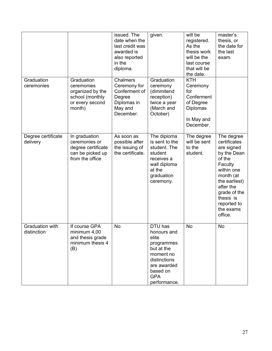|                                       |                                                                                              | issued. The<br>date when the<br>last credit was<br>awarded is<br>also reported<br>in the<br>diploma. | given.                                                                                                                                            | will be<br>registered.<br>As the<br>thesis work<br>will be the<br>last course<br>that will be<br>the date. | master's<br>thesis, or<br>the date for<br>the last<br>exam.                                                                                                                                               |
|---------------------------------------|----------------------------------------------------------------------------------------------|------------------------------------------------------------------------------------------------------|---------------------------------------------------------------------------------------------------------------------------------------------------|------------------------------------------------------------------------------------------------------------|-----------------------------------------------------------------------------------------------------------------------------------------------------------------------------------------------------------|
| Graduation<br>ceremonies              | Graduation<br>ceremonies<br>organized by the<br>school (monthly<br>or every second<br>month) | <b>Chalmers</b><br>Ceremony for<br>Conferment of<br>Degree<br>Diplomas in<br>May and<br>December.    | Graduation<br>ceremony<br>(dimmitend<br>reception)<br>twice a year<br>(March and<br>October)                                                      | <b>KTH</b><br>Ceremony<br>for<br>Conferment<br>of Degree<br><b>Diplomas</b><br>In May and<br>December.     |                                                                                                                                                                                                           |
| Degree certificate<br>delivery        | In graduation<br>ceremonies or<br>degree certificate<br>can be picked up<br>from the office  | As soon as<br>possible after<br>the issuing of<br>the certificate.                                   | The diploma<br>is sent to the<br>student. The<br>student<br>receives a<br>wall diploma<br>at the<br>graduation<br>ceremony.                       | The degree<br>will be sent<br>to the<br>student.                                                           | The degree<br>certificates<br>are signed<br>by the Dean<br>of the<br>Faculty<br>within one<br>month (at<br>the earliest)<br>after the<br>grade of the<br>thesis is<br>reported to<br>the exams<br>office. |
| <b>Graduation with</b><br>distinction | If course GPA<br>minimum 4,00<br>and thesis grade<br>minimum thesis 4<br>(B)                 | No                                                                                                   | DTU has<br>honours and<br>elite<br>programmes<br>but at the<br>moment no<br>distinctions<br>are awarded<br>based on<br><b>GPA</b><br>performance. | No                                                                                                         | No                                                                                                                                                                                                        |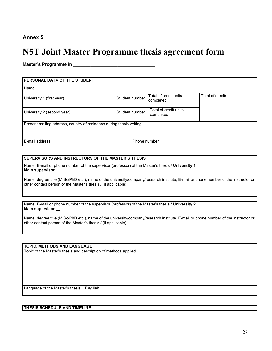### **N5T Joint Master Programme thesis agreement form**

**Master's Programme in \_\_\_\_\_\_\_\_\_\_\_\_\_\_\_\_\_\_\_\_\_\_\_\_\_\_\_\_\_\_\_\_\_** 

| PERSONAL DATA OF THE STUDENT                                        |                |  |                                    |                  |  |  |
|---------------------------------------------------------------------|----------------|--|------------------------------------|------------------|--|--|
| Name                                                                |                |  |                                    |                  |  |  |
| University 1 (first year)                                           | Student number |  | Total of credit units<br>completed | Total of credits |  |  |
| University 2 (second year)                                          | Student number |  | Total of credit units<br>completed |                  |  |  |
| Present mailing address, country of residence during thesis writing |                |  |                                    |                  |  |  |
| E-mail address<br>Phone number                                      |                |  |                                    |                  |  |  |

#### **SUPERVISORS AND INSTRUCTORS OF THE MASTER'S THESIS**

Name, E-mail or phone number of the supervisor (professor) of the Master's thesis / **University 1 Main supervisor** 

Name, degree title (M.Sc/PhD etc.), name of the university/company/research institute, E-mail or phone number of the instructor or other contact person of the Master's thesis / (if applicable)

Name, E-mail or phone number of the supervisor (professor) of the Master's thesis / **University 2 Main supervisor** 

Name, degree title (M.Sc/PhD etc.), name of the university/company/research institute, E-mail or phone number of the instructor or other contact person of the Master's thesis / (if applicable)

#### **TOPIC, METHODS AND LANGUAGE**

Topic of the Master's thesis and description of methods applied

Language of the Master's thesis: **English**

#### **THESIS SCHEDULE AND TIMELINE**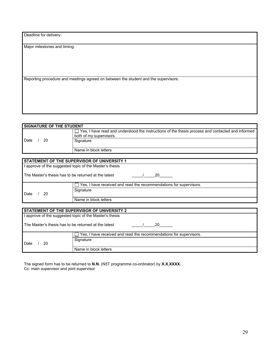Deadline for delivery:

Major milestones and timing:

Reporting procedure and meetings agreed on between the student and the supervisors:

| <b>SIGNATURE OF THE STUDENT</b> |                                                                                                                              |  |  |  |
|---------------------------------|------------------------------------------------------------------------------------------------------------------------------|--|--|--|
|                                 | Yes, I have read and understood the instructions of the thesis process and contacted and informed<br>both of my supervisors. |  |  |  |
| 20<br>Date                      | Signature                                                                                                                    |  |  |  |
|                                 | Name in block letters                                                                                                        |  |  |  |

|                                                            | STATEMENT OF THE SUPERVISOR OF UNIVERSITY 1                        |  |  |  |
|------------------------------------------------------------|--------------------------------------------------------------------|--|--|--|
| I approve of the suggested topic of the Master's thesis    |                                                                    |  |  |  |
| The Master's thesis has to be returned at the latest<br>20 |                                                                    |  |  |  |
|                                                            | Yes, I have received and read the recommendations for supervisors. |  |  |  |
| Date<br>20                                                 | Signature                                                          |  |  |  |
|                                                            | Name in block letters                                              |  |  |  |
|                                                            |                                                                    |  |  |  |
|                                                            | STATEMENT OF THE SUPERVISOR OF UNIVERSITY 2                        |  |  |  |
| I approve of the suggested topic of the Master's thesis    |                                                                    |  |  |  |
| The Master's thesis has to be returned at the latest<br>20 |                                                                    |  |  |  |
|                                                            | Yes, I have received and read the recommendations for supervisors. |  |  |  |
| Signature<br>20<br>Date                                    |                                                                    |  |  |  |
|                                                            | Name in block letters                                              |  |  |  |

The signed form has to be returned to **N.N.** (N5T programme co-ordinator) by **X.X.XXXX.** Cc: main supervisor and joint supervisor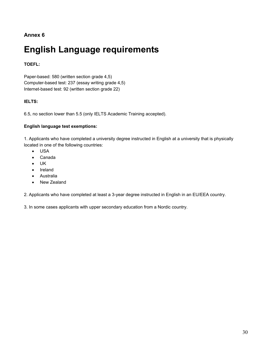# **English Language requirements**

#### **TOEFL:**

Paper-based: 580 (written section grade 4,5) Computer-based test: 237 (essay writing grade 4,5) Internet-based test: 92 (written section grade 22)

#### **IELTS:**

6.5, no section lower than 5.5 (only IELTS Academic Training accepted).

#### **English language test exemptions:**

1. Applicants who have completed a university degree instructed in English at a university that is physically located in one of the following countries:

- USA
- Canada
- UK
- Ireland
- Australia
- New Zealand

2. Applicants who have completed at least a 3-year degree instructed in English in an EU/EEA country.

3. In some cases applicants with upper secondary education from a Nordic country.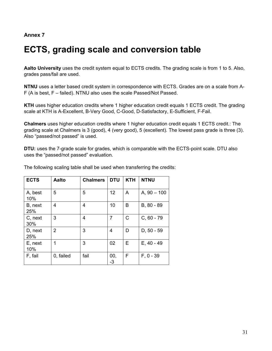# **ECTS, grading scale and conversion table**

**Aalto University** uses the credit system equal to ECTS credits. The grading scale is from 1 to 5. Also, grades pass/fail are used.

**NTNU** uses a letter based credit system in correspondence with ECTS. Grades are on a scale from A-F (A is best, F – failed). NTNU also uses the scale Passed/Not Passed.

**KTH** uses higher education credits where 1 higher education credit equals 1 ECTS credit. The grading scale at KTH is A-Excellent, B-Very Good, C-Good, D-Satisfactory, E-Sufficient, F-Fail.

**Chalmers** uses higher education credits where 1 higher education credit equals 1 ECTS credit.: The grading scale at Chalmers is 3 (good), 4 (very good), 5 (excellent). The lowest pass grade is three (3). Also "passed/not passed" is used.

**DTU:** uses the 7-grade scale for grades, which is comparable with the ECTS-point scale. DTU also uses the "passed/not passed" evaluation.

| <b>ECTS</b>    | Aalto          | <b>Chalmers</b> | <b>DTU</b> | <b>KTH</b> | <b>NTNU</b>   |
|----------------|----------------|-----------------|------------|------------|---------------|
| A, best<br>10% | 5              | 5               | 12         | A          | $A, 90 - 100$ |
| B, next<br>25% | 4              | 4               | 10         | В          | B, 80 - 89    |
| C, next<br>30% | 3              | 4               | 7          | C          | $C, 60 - 79$  |
| D, next<br>25% | $\overline{2}$ | 3               | 4          | D          | $D, 50 - 59$  |
| E, next<br>10% | 1              | 3               | 02         | Е          | $E, 40 - 49$  |
| F, fail        | 0, failed      | fail            | 00,<br>-3  | F          | $F, 0 - 39$   |

The following scaling table shall be used when transferring the credits: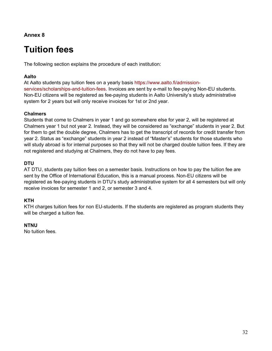# **Tuition fees**

The following section explains the procedure of each institution:

#### **Aalto**

At Aalto students pay tuition fees on a yearly basis https://www.aalto.fi/admissionservices/scholarships-and-tuition-fees. Invoices are sent by e-mail to fee-paying Non-EU students. Non-EU citizens will be registered as fee-paying students in Aalto University's study administrative system for 2 years but will only receive invoices for 1st or 2nd year.

#### **Chalmers**

Students that come to Chalmers in year 1 and go somewhere else for year 2, will be registered at Chalmers year 1 but not year 2. Instead, they will be considered as "exchange" students in year 2. But for them to get the double degree, Chalmers has to get the transcript of records for credit transfer from year 2. Status as "exchange" students in year 2 instead of "Master's" students for those students who will study abroad is for internal purposes so that they will not be charged double tuition fees. If they are not registered and studying at Chalmers, they do not have to pay fees.

#### **DTU**

AT DTU, students pay tuition fees on a semester basis. Instructions on how to pay the tuition fee are sent by the Office of International Education, this is a manual process. Non-EU citizens will be registered as fee-paying students in DTU's study administrative system for all 4 semesters but will only receive invoices for semester 1 and 2, or semester 3 and 4.

#### **KTH**

KTH charges tuition fees for non EU-students. If the students are registered as program students they will be charged a tuition fee.

#### **NTNU**

No tuition fees.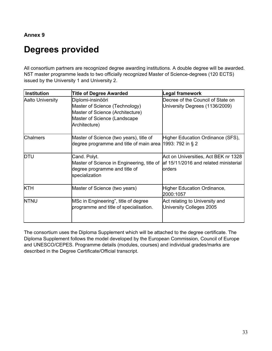# **Degrees provided**

All consortium partners are recognized degree awarding institutions. A double degree will be awarded. N5T master programme leads to two officially recognized Master of Science-degrees (120 ECTS) issued by the University 1 and University 2.

| <b>Institution</b>      | <b>Title of Degree Awarded</b>                                                                                                           | Legal framework                                                                          |  |
|-------------------------|------------------------------------------------------------------------------------------------------------------------------------------|------------------------------------------------------------------------------------------|--|
| <b>Aalto University</b> | Diplomi-insinööri<br>Master of Science (Technology)<br>Master of Science (Architecture)<br>Master of Science (Landscape<br>Architecture) | Decree of the Council of State on<br>University Degrees (1136/2009)                      |  |
| <b>Chalmers</b>         | Master of Science (two years), title of<br>degree programme and title of main area $ 1993:792$ in § 2                                    | Higher Education Ordinance (SFS),                                                        |  |
| <b>DTU</b>              | Cand. Polyt.<br>Master of Science in Engineering, title of<br>degree programme and title of<br>specialization                            | Act on Universities, Act BEK nr 1328<br>laf 15/11/2016 and related ministerial<br>orders |  |
| <b>KTH</b>              | Master of Science (two years)                                                                                                            | <b>Higher Education Ordinance,</b><br>2000:1057                                          |  |
| <b>NTNU</b>             | MSc in Engineering", title of degree<br>programme and title of specialisation.                                                           | Act relating to University and<br>University Colleges 2005                               |  |

The consortium uses the Diploma Supplement which will be attached to the degree certificate. The Diploma Supplement follows the model developed by the European Commission, Council of Europe and UNESCO/CEPES. Programme details (modules, courses) and individual grades/marks are described in the Degree Certificate/Official transcript.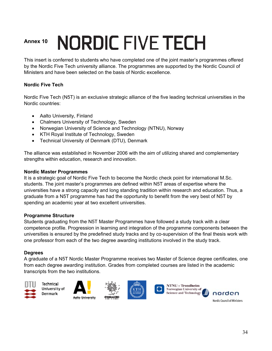# **NORDIC FIVE TECH Annex 10**

This insert is conferred to students who have completed one of the joint master's programmes offered by the Nordic Five Tech university alliance. The programmes are supported by the Nordic Council of Ministers and have been selected on the basis of Nordic excellence.

#### **Nordic Five Tech**

Nordic Five Tech (N5T) is an exclusive strategic alliance of the five leading technical universities in the Nordic countries:

- Aalto University, Finland
- Chalmers University of Technology, Sweden
- Norwegian University of Science and Technology (NTNU), Norway
- KTH Royal Institute of Technology, Sweden
- Technical University of Denmark (DTU), Denmark

The alliance was established in November 2006 with the aim of utilizing shared and complementary strengths within education, research and innovation.

#### **Nordic Master Programmes**

It is a strategic goal of Nordic Five Tech to become the Nordic check point for international M.Sc. students. The joint master's programmes are defined within N5T areas of expertise where the universities have a strong capacity and long standing tradition within research and education. Thus, a graduate from a N5T programme has had the opportunity to benefit from the very best of N5T by spending an academic year at two excellent universities.

#### **Programme Structure**

Students graduating from the N5T Master Programmes have followed a study track with a clear competence profile. Progression in learning and integration of the programme components between the universities is ensured by the predefined study tracks and by co-supervision of the final thesis work with one professor from each of the two degree awarding institutions involved in the study track.

#### **Degrees**

A graduate of a N5T Nordic Master Programme receives two Master of Science degree certificates, one from each degree awarding institution. Grades from completed courses are listed in the academic transcripts from the two institutions.











Nordic Council of Ministers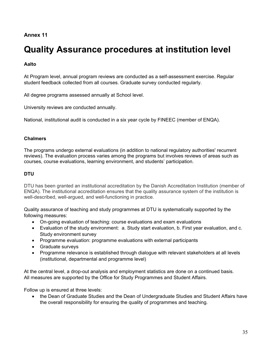# **Quality Assurance procedures at institution level**

#### **Aalto**

At Program level, annual program reviews are conducted as a self-assessment exercise. Regular student feedback collected from all courses. Graduate survey conducted regularly.

All degree programs assessed annually at School level.

University reviews are conducted annually.

National, institutional audit is conducted in a six year cycle by FINEEC (member of ENQA).

#### **Chalmers**

The programs undergo external evaluations (in addition to national regulatory authorities' recurrent reviews). The evaluation process varies among the programs but involves reviews of areas such as courses, course evaluations, learning environment, and students' participation.

#### **DTU**

DTU has been granted an institutional accreditation by the Danish Accreditation Institution (member of ENQA). The institutional accreditation ensures that the quality assurance system of the institution is well-described, well-argued, and well-functioning in practice.

Quality assurance of teaching and study programmes at DTU is systematically supported by the following measures:

- On-going evaluation of teaching: course evaluations and exam evaluations
- Evaluation of the study environment: a. Study start evaluation, b. First year evaluation, and c. Study environment survey
- Programme evaluation: programme evaluations with external participants
- Graduate surveys
- Programme relevance is established through dialogue with relevant stakeholders at all levels (institutional, departmental and programme level)

At the central level, a drop-out analysis and employment statistics are done on a continued basis. All measures are supported by the Office for Study Programmes and Student Affairs.

Follow up is ensured at three levels:

• the Dean of Graduate Studies and the Dean of Undergraduate Studies and Student Affairs have the overall responsibility for ensuring the quality of programmes and teaching.